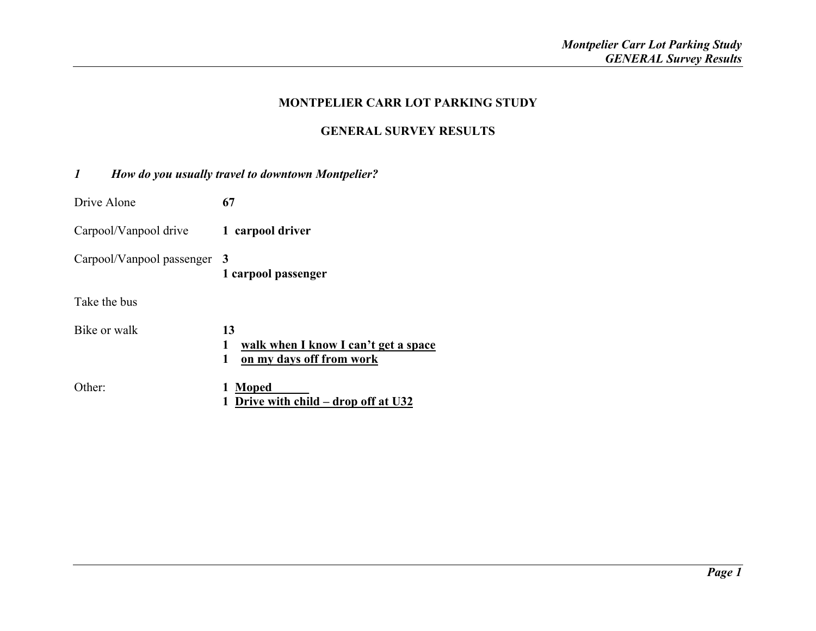#### **MONTPELIER CARR LOT PARKING STUDY**

## **GENERAL SURVEY RESULTS**

## *1 How do you usually travel to downtown Montpelier?*

| Drive Alone               | 67                                                                               |
|---------------------------|----------------------------------------------------------------------------------|
| Carpool/Vanpool drive     | 1 carpool driver                                                                 |
| Carpool/Vanpool passenger | - 3<br>1 carpool passenger                                                       |
| Take the bus              |                                                                                  |
| Bike or walk              | 13<br>walk when I know I can't get a space<br>1<br>on my days off from work<br>1 |
| Other <sup>.</sup>        | <b>Moped</b><br>1<br>Drive with child – drop off at U32                          |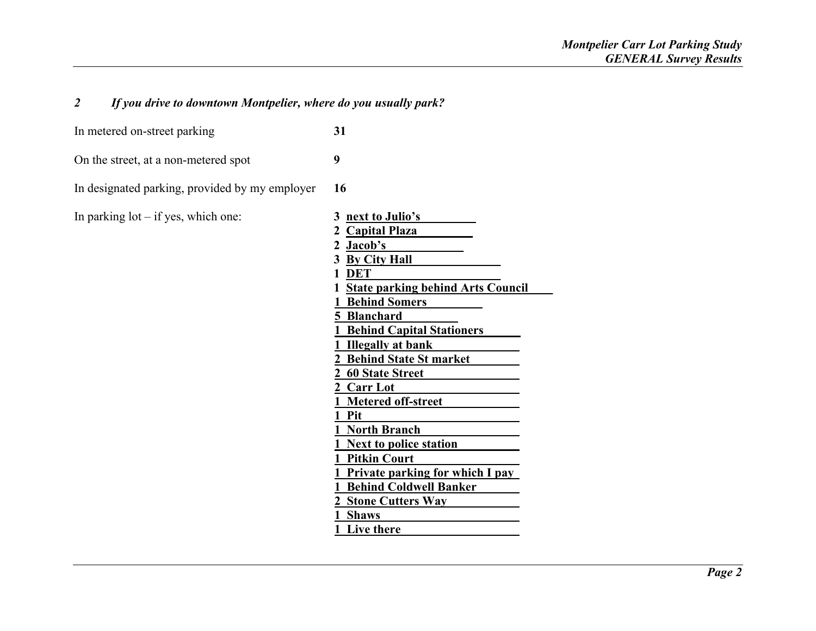# *2 If you drive to downtown Montpelier, where do you usually park?*

| In metered on-street parking                   | 31                                                                                                                                                                                                                                                                                                                                                                                                                                                                                                                                                               |
|------------------------------------------------|------------------------------------------------------------------------------------------------------------------------------------------------------------------------------------------------------------------------------------------------------------------------------------------------------------------------------------------------------------------------------------------------------------------------------------------------------------------------------------------------------------------------------------------------------------------|
| On the street, at a non-metered spot           | 9                                                                                                                                                                                                                                                                                                                                                                                                                                                                                                                                                                |
| In designated parking, provided by my employer | 16                                                                                                                                                                                                                                                                                                                                                                                                                                                                                                                                                               |
| In parking $lot - if yes$ , which one:         | 3 next to Julio's<br><b>Capital Plaza</b><br>2 Jacob's<br>3 By City Hall<br>1 DET<br>1 State parking behind Arts Council<br><b>Behind Somers</b><br>5 Blanchard<br><b>Behind Capital Stationers</b><br><b>Illegally at bank</b><br><b>Behind State St market</b><br><b>60 State Street</b><br>2 Carr Lot<br><b>Metered off-street</b><br>Pit<br><b>North Branch</b><br><b>Next to police station</b><br><b>Pitkin Court</b><br>Private parking for which I pay<br><b>Behind Coldwell Banker</b><br><b>Stone Cutters Way</b><br><b>Shaws</b><br><b>Live there</b> |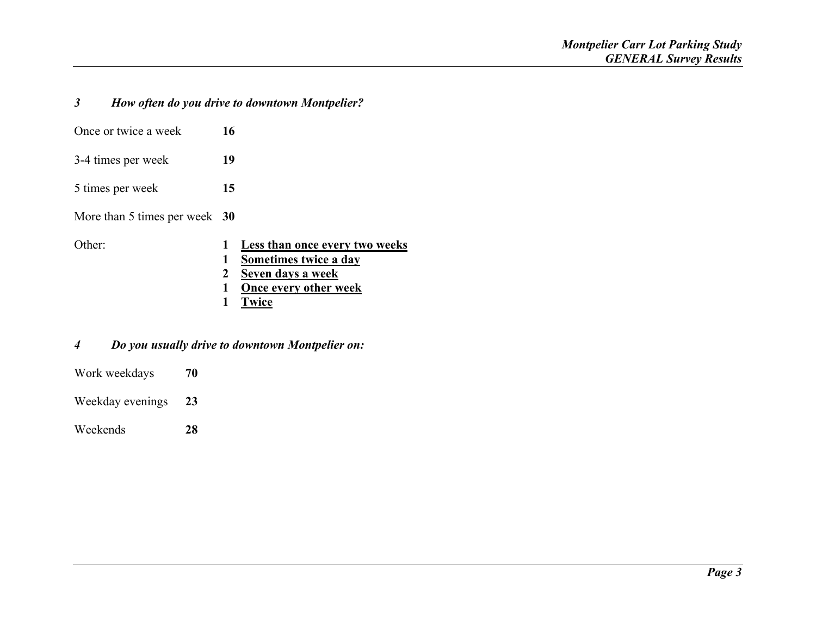#### *3 How often do you drive to downtown Montpelier?*

| Once or twice a week          | 16 |
|-------------------------------|----|
| 3-4 times per week            | 19 |
| 5 times per week              | 15 |
| More than 5 times per week 30 |    |

- Other: **1 Less than once every two weeks**
	- **1 Sometimes twice a day**
	- **2Seven days a week**
	- **1Once every other week**
	- **1 Twice**

## *4 Do you usually drive to downtown Montpelier on:*

- Work weekdays **70**
- Weekday evenings **23**

## Weekends **28**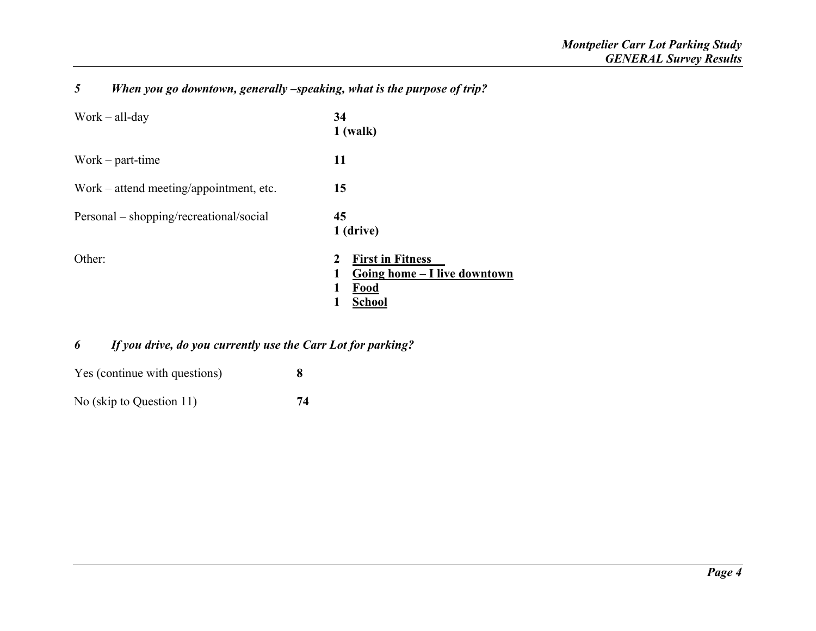## *5 When you go downtown, generally –speaking, what is the purpose of trip?*

| $Work - all-day$                        | 34<br>$1$ (walk)                                                                           |
|-----------------------------------------|--------------------------------------------------------------------------------------------|
| $Work - part-time$                      | 11                                                                                         |
| Work – attend meeting/appointment, etc. | 15                                                                                         |
| Personal – shopping/recreational/social | 45<br>1 (drive)                                                                            |
| Other:                                  | <b>First in Fitness</b><br>2<br>Going home - I live downtown<br>1<br>Food<br><b>School</b> |

# *6 If you drive, do you currently use the Carr Lot for parking?*

| Yes (continue with questions) |  |
|-------------------------------|--|
|-------------------------------|--|

No (skip to Question 11) **74**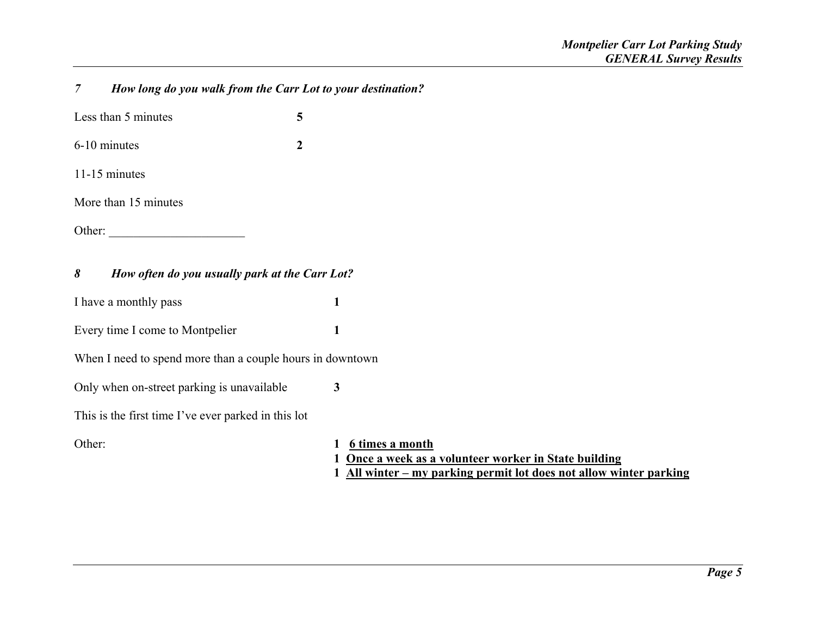## *7 How long do you walk from the Carr Lot to your destination?*

| Less than 5 minutes  |   |
|----------------------|---|
| 6-10 minutes         | 2 |
| 11-15 minutes        |   |
| More than 15 minutes |   |
| Other:               |   |
|                      |   |

#### *8 How often do you usually park at the Carr Lot?*

I have a monthly pass **1** 

Every time I come to Montpelier **1** 

When I need to spend more than a couple hours in downtown

Only when on-street parking is unavailable **3** 

This is the first time I've ever parked in this lot

Other:

**6 times a month**

**1 Once a week as a volunteer worker in State building**

 **1 All winter – my parking permit lot does not allow winter parking**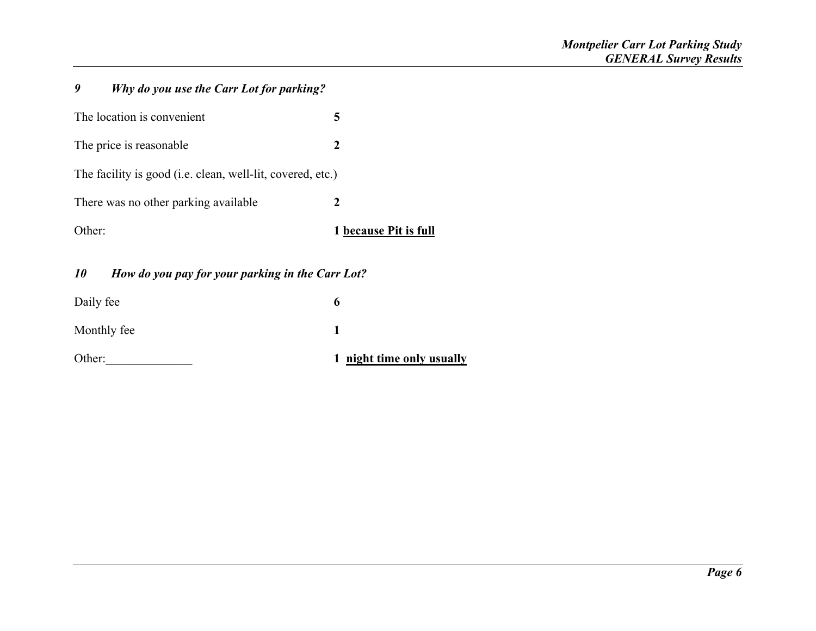## *9 Why do you use the Carr Lot for parking?*

| Other <sup>-</sup>                                         | 1 because Pit is full |
|------------------------------------------------------------|-----------------------|
| There was no other parking available                       | 2                     |
| The facility is good (i.e. clean, well-lit, covered, etc.) |                       |
| The price is reasonable.                                   | 2                     |
| The location is convenient                                 |                       |

*10 How do you pay for your parking in the Carr Lot?* 

| Other:      | 1 night time only usually |
|-------------|---------------------------|
| Monthly fee |                           |
| Daily fee   | O                         |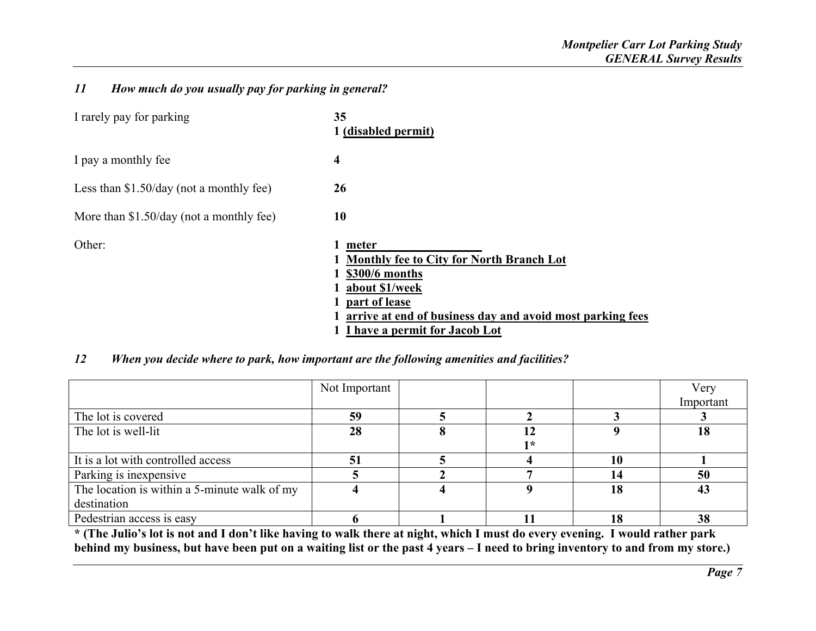## *11 How much do you usually pay for parking in general?*

| I rarely pay for parking                  | 35<br>1 (disabled permit)                                                                                                                                                                                         |
|-------------------------------------------|-------------------------------------------------------------------------------------------------------------------------------------------------------------------------------------------------------------------|
| I pay a monthly fee                       | $\overline{\mathbf{4}}$                                                                                                                                                                                           |
| Less than $$1.50/day$ (not a monthly fee) | 26                                                                                                                                                                                                                |
| More than $$1.50/day$ (not a monthly fee) | 10                                                                                                                                                                                                                |
| Other:                                    | 1 meter<br><b>Monthly fee to City for North Branch Lot</b><br>1 \$300/6 months<br>about \$1/week<br>part of lease<br>arrive at end of business day and avoid most parking fees<br>1 I have a permit for Jacob Lot |

## *12 When you decide where to park, how important are the following amenities and facilities?*

|                                              | Not Important |     |    | Very      |
|----------------------------------------------|---------------|-----|----|-----------|
|                                              |               |     |    | Important |
| The lot is covered                           | 59            |     |    |           |
| The lot is well-lit                          | 28            |     |    | 18        |
|                                              |               | 1 * |    |           |
| It is a lot with controlled access           |               |     | 10 |           |
| Parking is inexpensive                       |               |     | 14 | 50        |
| The location is within a 5-minute walk of my |               |     | 18 | 43        |
| destination                                  |               |     |    |           |
| Pedestrian access is easy                    |               |     | 18 | 38        |

**\* (The Julio's lot is not and I don't like having to walk there at night, which I must do every evening. I would rather park behind my business, but have been put on a waiting list or the past 4 years – I need to bring inventory to and from my store.)**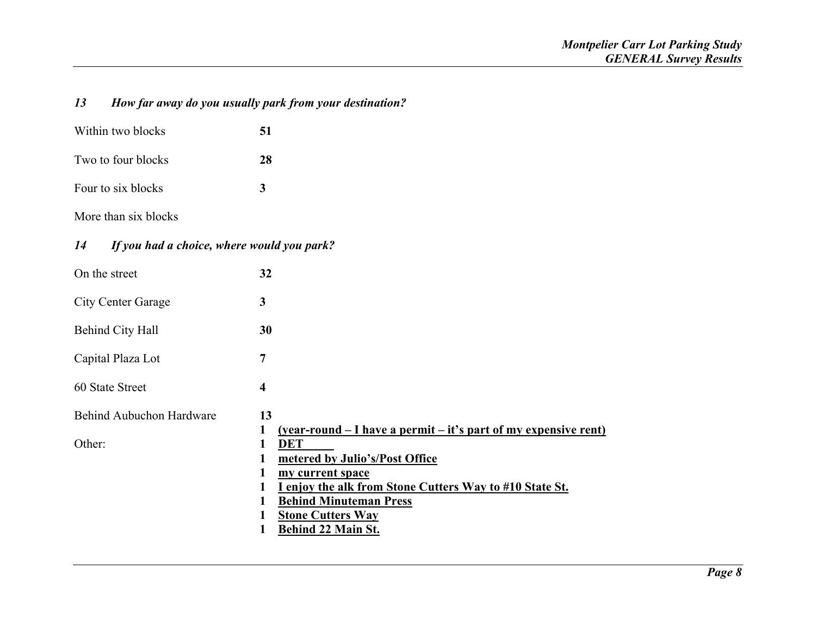# *13 How far away do you usually park from your destination?*

| Within two blocks  | 51 |  |
|--------------------|----|--|
| Two to four blocks | 28 |  |
| Four to six blocks | 3  |  |

More than six blocks

| 14 |  | If you had a choice, where would you park? |  |
|----|--|--------------------------------------------|--|
|    |  |                                            |  |

| On the street                             | 32                                                                                                                                                                                               |
|-------------------------------------------|--------------------------------------------------------------------------------------------------------------------------------------------------------------------------------------------------|
| <b>City Center Garage</b>                 | 3                                                                                                                                                                                                |
| Behind City Hall                          | 30                                                                                                                                                                                               |
| Capital Plaza Lot                         | 7                                                                                                                                                                                                |
| 60 State Street                           | 4                                                                                                                                                                                                |
| <b>Behind Aubuchon Hardware</b><br>Other: | 13<br>(year-round – I have a permit – it's part of my expensive rent)<br><b>DET</b>                                                                                                              |
|                                           | metered by Julio's/Post Office<br>my current space<br>I enjoy the alk from Stone Cutters Way to #10 State St.<br><b>Behind Minuteman Press</b><br><b>Stone Cutters Way</b><br>Behind 22 Main St. |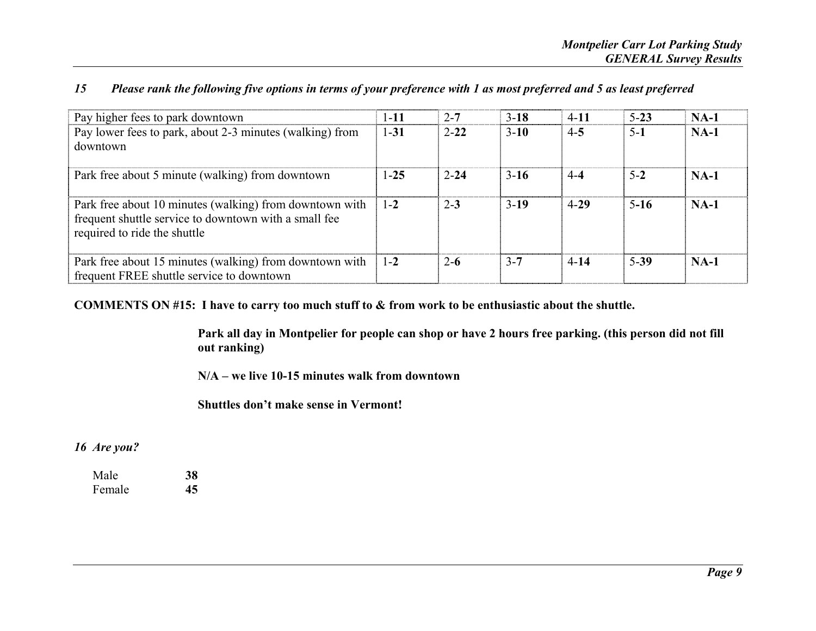|  |  |  | Please rank the following five options in terms of your preference with 1 as most preferred and 5 as least preferred |
|--|--|--|----------------------------------------------------------------------------------------------------------------------|
|  |  |  |                                                                                                                      |

| Pay higher fees to park downtown                                                                                                                 | $1 - 11$ | $2 - 7$  | $3-18$   | $4 - 11$ | $5 - 23$ | $NA-1$      |
|--------------------------------------------------------------------------------------------------------------------------------------------------|----------|----------|----------|----------|----------|-------------|
| Pay lower fees to park, about 2-3 minutes (walking) from<br>downtown                                                                             | $1 - 31$ | $2 - 22$ | $3 - 10$ | $4 - 5$  | $5-1$    | $NA-1$      |
| Park free about 5 minute (walking) from downtown                                                                                                 | $1 - 25$ | $2 - 24$ | $3 - 16$ | $4 - 4$  | $5-2$    | <b>NA-1</b> |
| Park free about 10 minutes (walking) from downtown with<br>frequent shuttle service to downtown with a small fee<br>required to ride the shuttle | $1 - 2$  | $2 - 3$  | $3-19$   | $4-29$   | $5-16$   | $NA-1$      |
| Park free about 15 minutes (walking) from downtown with<br>frequent FREE shuttle service to downtown                                             | $1 - 2$  | $2 - 6$  | $3 - 7$  | $4 - 14$ | 5-39     | $NA-1$      |

**COMMENTS ON #15: I have to carry too much stuff to & from work to be enthusiastic about the shuttle.**

**Park all day in Montpelier for people can shop or have 2 hours free parking. (this person did not fill out ranking)** 

**N/A – we live 10-15 minutes walk from downtown** 

**Shuttles don't make sense in Vermont!** 

#### *16 Are you?*

| Male   | 38 |
|--------|----|
| Female | 45 |